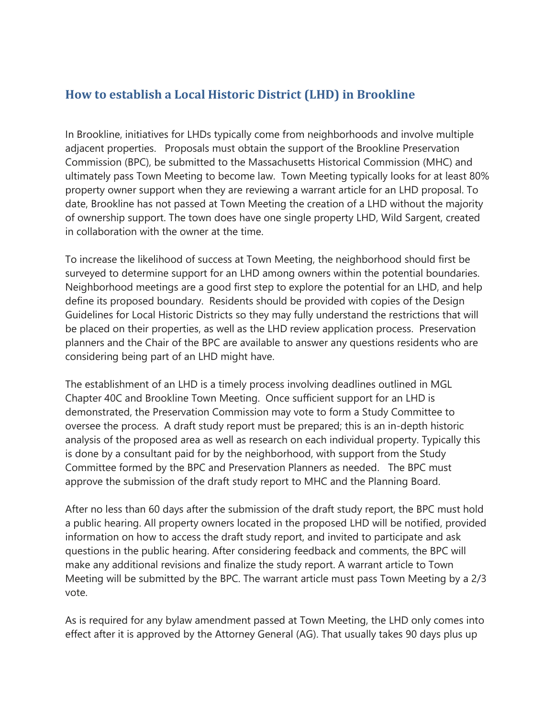## **How to establish a Local Historic District (LHD) in Brookline**

In Brookline, initiatives for LHDs typically come from neighborhoods and involve multiple adjacent properties. Proposals must obtain the support of the Brookline Preservation Commission (BPC), be submitted to the Massachusetts Historical Commission (MHC) and ultimately pass Town Meeting to become law. Town Meeting typically looks for at least 80% property owner support when they are reviewing a warrant article for an LHD proposal. To date, Brookline has not passed at Town Meeting the creation of a LHD without the majority of ownership support. The town does have one single property LHD, Wild Sargent, created in collaboration with the owner at the time.

To increase the likelihood of success at Town Meeting, the neighborhood should first be surveyed to determine support for an LHD among owners within the potential boundaries. Neighborhood meetings are a good first step to explore the potential for an LHD, and help define its proposed boundary. Residents should be provided with copies of the Design Guidelines for Local Historic Districts so they may fully understand the restrictions that will be placed on their properties, as well as the LHD review application process. Preservation planners and the Chair of the BPC are available to answer any questions residents who are considering being part of an LHD might have.

The establishment of an LHD is a timely process involving deadlines outlined in MGL Chapter 40C and Brookline Town Meeting. Once sufficient support for an LHD is demonstrated, the Preservation Commission may vote to form a Study Committee to oversee the process. A draft study report must be prepared; this is an in-depth historic analysis of the proposed area as well as research on each individual property. Typically this is done by a consultant paid for by the neighborhood, with support from the Study Committee formed by the BPC and Preservation Planners as needed. The BPC must approve the submission of the draft study report to MHC and the Planning Board.

After no less than 60 days after the submission of the draft study report, the BPC must hold a public hearing. All property owners located in the proposed LHD will be notified, provided information on how to access the draft study report, and invited to participate and ask questions in the public hearing. After considering feedback and comments, the BPC will make any additional revisions and finalize the study report. A warrant article to Town Meeting will be submitted by the BPC. The warrant article must pass Town Meeting by a 2/3 vote.

As is required for any bylaw amendment passed at Town Meeting, the LHD only comes into effect after it is approved by the Attorney General (AG). That usually takes 90 days plus up